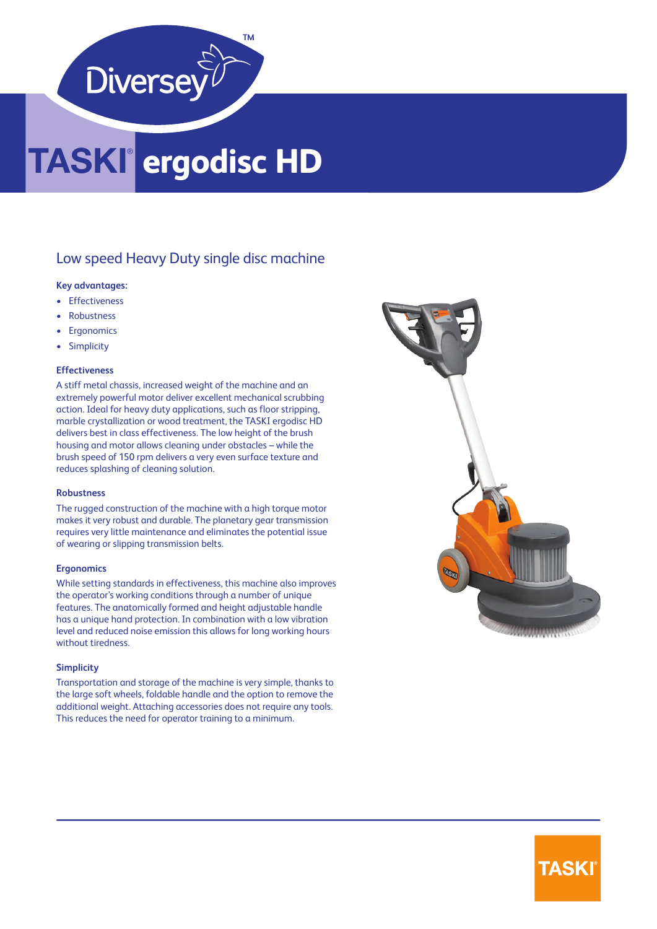

## **ergodisc HD**

#### Low speed Heavy Duty single disc machine

#### **Key advantages:**

- Effectiveness
- **Robustness**
- **Ergonomics**
- Simplicity

#### **Effectiveness**

A stiff metal chassis, increased weight of the machine and an extremely powerful motor deliver excellent mechanical scrubbing action. Ideal for heavy duty applications, such as floor stripping, marble crystallization or wood treatment, the TASKI ergodisc HD delivers best in class effectiveness. The low height of the brush housing and motor allows cleaning under obstacles – while the brush speed of 150 rpm delivers a very even surface texture and reduces splashing of cleaning solution.

#### **Robustness**

The rugged construction of the machine with a high torque motor makes it very robust and durable. The planetary gear transmission requires very little maintenance and eliminates the potential issue of wearing or slipping transmission belts.

#### **Ergonomics**

While setting standards in effectiveness, this machine also improves the operator's working conditions through a number of unique features. The anatomically formed and height adjustable handle has a unique hand protection. In combination with a low vibration level and reduced noise emission this allows for long working hours without tiredness.

#### **Simplicity**

Transportation and storage of the machine is very simple, thanks to the large soft wheels, foldable handle and the option to remove the additional weight. Attaching accessories does not require any tools. This reduces the need for operator training to a minimum.



### **TASKI**